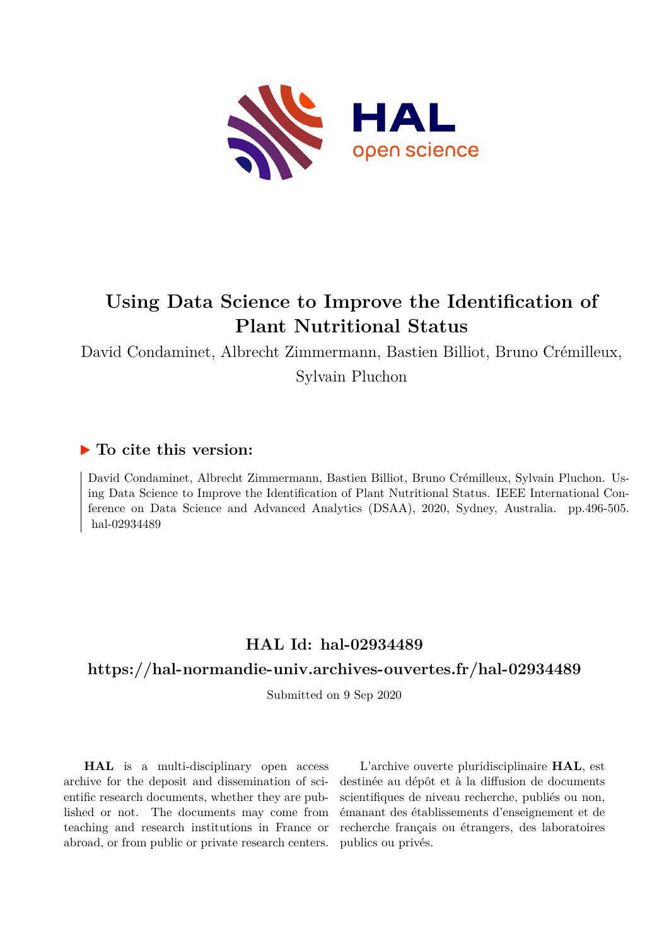

# **Using Data Science to Improve the Identification of Plant Nutritional Status**

David Condaminet, Albrecht Zimmermann, Bastien Billiot, Bruno Crémilleux, Sylvain Pluchon

# **To cite this version:**

David Condaminet, Albrecht Zimmermann, Bastien Billiot, Bruno Crémilleux, Sylvain Pluchon. Using Data Science to Improve the Identification of Plant Nutritional Status. IEEE International Conference on Data Science and Advanced Analytics (DSAA), 2020, Sydney, Australia. pp.496-505. hal-02934489

# **HAL Id: hal-02934489**

# **<https://hal-normandie-univ.archives-ouvertes.fr/hal-02934489>**

Submitted on 9 Sep 2020

**HAL** is a multi-disciplinary open access archive for the deposit and dissemination of scientific research documents, whether they are published or not. The documents may come from teaching and research institutions in France or abroad, or from public or private research centers.

L'archive ouverte pluridisciplinaire **HAL**, est destinée au dépôt et à la diffusion de documents scientifiques de niveau recherche, publiés ou non, émanant des établissements d'enseignement et de recherche français ou étrangers, des laboratoires publics ou privés.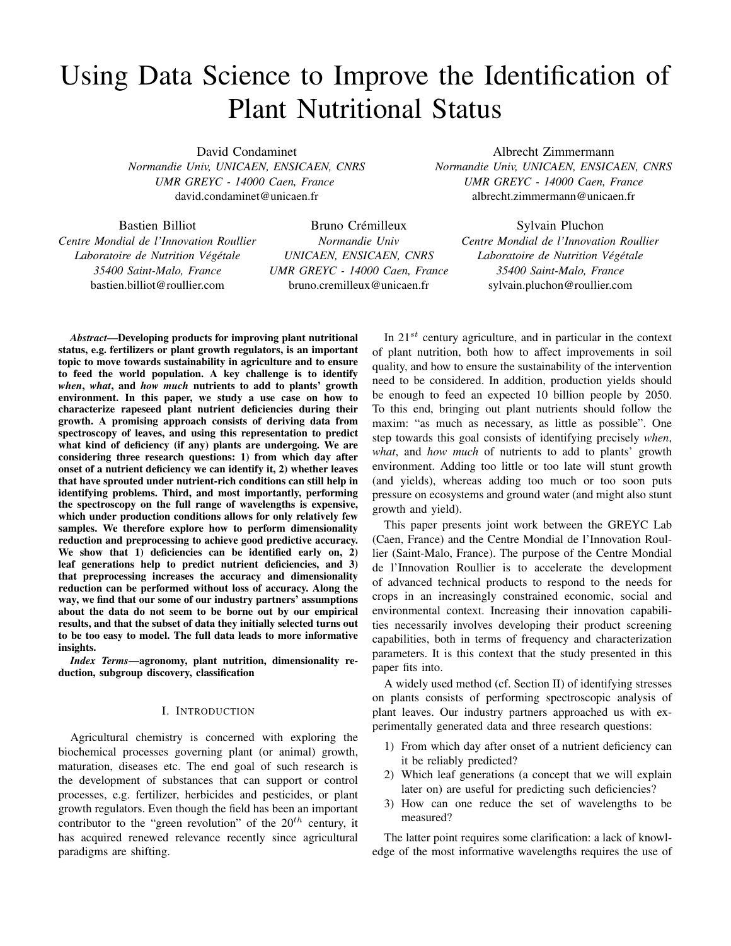# Using Data Science to Improve the Identification of Plant Nutritional Status

David Condaminet

*Normandie Univ, UNICAEN, ENSICAEN, CNRS UMR GREYC - 14000 Caen, France* david.condaminet@unicaen.fr

Albrecht Zimmermann *Normandie Univ, UNICAEN, ENSICAEN, CNRS UMR GREYC - 14000 Caen, France* albrecht.zimmermann@unicaen.fr

Bastien Billiot

*Centre Mondial de l'Innovation Roullier Laboratoire de Nutrition Végétale 35400 Saint-Malo, France* bastien.billiot@roullier.com

Bruno Crémilleux *Normandie Univ UNICAEN, ENSICAEN, CNRS UMR GREYC - 14000 Caen, France* bruno.cremilleux@unicaen.fr

Sylvain Pluchon *Centre Mondial de l'Innovation Roullier Laboratoire de Nutrition Végétale 35400 Saint-Malo, France* sylvain.pluchon@roullier.com

*Abstract*—Developing products for improving plant nutritional status, e.g. fertilizers or plant growth regulators, is an important topic to move towards sustainability in agriculture and to ensure to feed the world population. A key challenge is to identify *when*, *what*, and *how much* nutrients to add to plants' growth environment. In this paper, we study a use case on how to characterize rapeseed plant nutrient deficiencies during their growth. A promising approach consists of deriving data from spectroscopy of leaves, and using this representation to predict what kind of deficiency (if any) plants are undergoing. We are considering three research questions: 1) from which day after onset of a nutrient deficiency we can identify it, 2) whether leaves that have sprouted under nutrient-rich conditions can still help in identifying problems. Third, and most importantly, performing the spectroscopy on the full range of wavelengths is expensive, which under production conditions allows for only relatively few samples. We therefore explore how to perform dimensionality reduction and preprocessing to achieve good predictive accuracy. We show that 1) deficiencies can be identified early on, 2) leaf generations help to predict nutrient deficiencies, and 3) that preprocessing increases the accuracy and dimensionality reduction can be performed without loss of accuracy. Along the way, we find that our some of our industry partners' assumptions about the data do not seem to be borne out by our empirical results, and that the subset of data they initially selected turns out to be too easy to model. The full data leads to more informative insights.

*Index Terms*—agronomy, plant nutrition, dimensionality reduction, subgroup discovery, classification

#### I. INTRODUCTION

Agricultural chemistry is concerned with exploring the biochemical processes governing plant (or animal) growth, maturation, diseases etc. The end goal of such research is the development of substances that can support or control processes, e.g. fertilizer, herbicides and pesticides, or plant growth regulators. Even though the field has been an important contributor to the "green revolution" of the  $20^{th}$  century, it has acquired renewed relevance recently since agricultural paradigms are shifting.

In  $21^{st}$  century agriculture, and in particular in the context of plant nutrition, both how to affect improvements in soil quality, and how to ensure the sustainability of the intervention need to be considered. In addition, production yields should be enough to feed an expected 10 billion people by 2050. To this end, bringing out plant nutrients should follow the maxim: "as much as necessary, as little as possible". One step towards this goal consists of identifying precisely *when*, *what*, and *how much* of nutrients to add to plants' growth environment. Adding too little or too late will stunt growth (and yields), whereas adding too much or too soon puts pressure on ecosystems and ground water (and might also stunt growth and yield).

This paper presents joint work between the GREYC Lab (Caen, France) and the Centre Mondial de l'Innovation Roullier (Saint-Malo, France). The purpose of the Centre Mondial de l'Innovation Roullier is to accelerate the development of advanced technical products to respond to the needs for crops in an increasingly constrained economic, social and environmental context. Increasing their innovation capabilities necessarily involves developing their product screening capabilities, both in terms of frequency and characterization parameters. It is this context that the study presented in this paper fits into.

A widely used method (cf. Section II) of identifying stresses on plants consists of performing spectroscopic analysis of plant leaves. Our industry partners approached us with experimentally generated data and three research questions:

- 1) From which day after onset of a nutrient deficiency can it be reliably predicted?
- 2) Which leaf generations (a concept that we will explain later on) are useful for predicting such deficiencies?
- 3) How can one reduce the set of wavelengths to be measured?

The latter point requires some clarification: a lack of knowledge of the most informative wavelengths requires the use of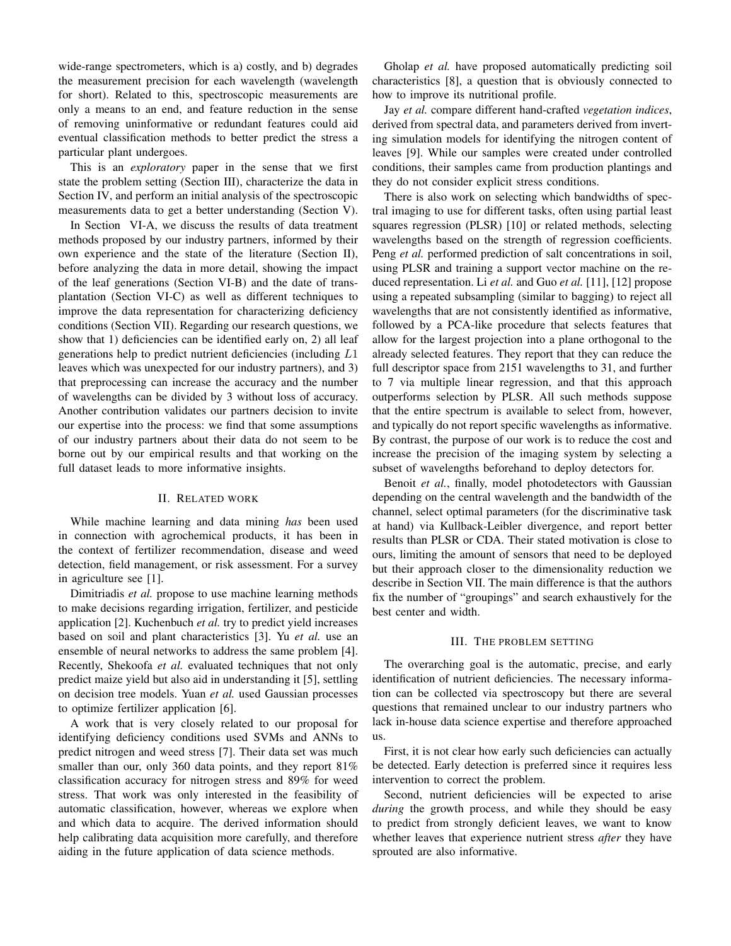wide-range spectrometers, which is a) costly, and b) degrades the measurement precision for each wavelength (wavelength for short). Related to this, spectroscopic measurements are only a means to an end, and feature reduction in the sense of removing uninformative or redundant features could aid eventual classification methods to better predict the stress a particular plant undergoes.

This is an *exploratory* paper in the sense that we first state the problem setting (Section III), characterize the data in Section IV, and perform an initial analysis of the spectroscopic measurements data to get a better understanding (Section V).

In Section VI-A, we discuss the results of data treatment methods proposed by our industry partners, informed by their own experience and the state of the literature (Section II), before analyzing the data in more detail, showing the impact of the leaf generations (Section VI-B) and the date of transplantation (Section VI-C) as well as different techniques to improve the data representation for characterizing deficiency conditions (Section VII). Regarding our research questions, we show that 1) deficiencies can be identified early on, 2) all leaf generations help to predict nutrient deficiencies (including L1 leaves which was unexpected for our industry partners), and 3) that preprocessing can increase the accuracy and the number of wavelengths can be divided by 3 without loss of accuracy. Another contribution validates our partners decision to invite our expertise into the process: we find that some assumptions of our industry partners about their data do not seem to be borne out by our empirical results and that working on the full dataset leads to more informative insights.

#### II. RELATED WORK

While machine learning and data mining *has* been used in connection with agrochemical products, it has been in the context of fertilizer recommendation, disease and weed detection, field management, or risk assessment. For a survey in agriculture see [1].

Dimitriadis *et al.* propose to use machine learning methods to make decisions regarding irrigation, fertilizer, and pesticide application [2]. Kuchenbuch *et al.* try to predict yield increases based on soil and plant characteristics [3]. Yu *et al.* use an ensemble of neural networks to address the same problem [4]. Recently, Shekoofa *et al.* evaluated techniques that not only predict maize yield but also aid in understanding it [5], settling on decision tree models. Yuan *et al.* used Gaussian processes to optimize fertilizer application [6].

A work that is very closely related to our proposal for identifying deficiency conditions used SVMs and ANNs to predict nitrogen and weed stress [7]. Their data set was much smaller than our, only 360 data points, and they report 81% classification accuracy for nitrogen stress and 89% for weed stress. That work was only interested in the feasibility of automatic classification, however, whereas we explore when and which data to acquire. The derived information should help calibrating data acquisition more carefully, and therefore aiding in the future application of data science methods.

Gholap *et al.* have proposed automatically predicting soil characteristics [8], a question that is obviously connected to how to improve its nutritional profile.

Jay *et al.* compare different hand-crafted *vegetation indices*, derived from spectral data, and parameters derived from inverting simulation models for identifying the nitrogen content of leaves [9]. While our samples were created under controlled conditions, their samples came from production plantings and they do not consider explicit stress conditions.

There is also work on selecting which bandwidths of spectral imaging to use for different tasks, often using partial least squares regression (PLSR) [10] or related methods, selecting wavelengths based on the strength of regression coefficients. Peng *et al.* performed prediction of salt concentrations in soil, using PLSR and training a support vector machine on the reduced representation. Li *et al.* and Guo *et al.* [11], [12] propose using a repeated subsampling (similar to bagging) to reject all wavelengths that are not consistently identified as informative, followed by a PCA-like procedure that selects features that allow for the largest projection into a plane orthogonal to the already selected features. They report that they can reduce the full descriptor space from 2151 wavelengths to 31, and further to 7 via multiple linear regression, and that this approach outperforms selection by PLSR. All such methods suppose that the entire spectrum is available to select from, however, and typically do not report specific wavelengths as informative. By contrast, the purpose of our work is to reduce the cost and increase the precision of the imaging system by selecting a subset of wavelengths beforehand to deploy detectors for.

Benoit *et al.*, finally, model photodetectors with Gaussian depending on the central wavelength and the bandwidth of the channel, select optimal parameters (for the discriminative task at hand) via Kullback-Leibler divergence, and report better results than PLSR or CDA. Their stated motivation is close to ours, limiting the amount of sensors that need to be deployed but their approach closer to the dimensionality reduction we describe in Section VII. The main difference is that the authors fix the number of "groupings" and search exhaustively for the best center and width.

## III. THE PROBLEM SETTING

The overarching goal is the automatic, precise, and early identification of nutrient deficiencies. The necessary information can be collected via spectroscopy but there are several questions that remained unclear to our industry partners who lack in-house data science expertise and therefore approached us.

First, it is not clear how early such deficiencies can actually be detected. Early detection is preferred since it requires less intervention to correct the problem.

Second, nutrient deficiencies will be expected to arise *during* the growth process, and while they should be easy to predict from strongly deficient leaves, we want to know whether leaves that experience nutrient stress *after* they have sprouted are also informative.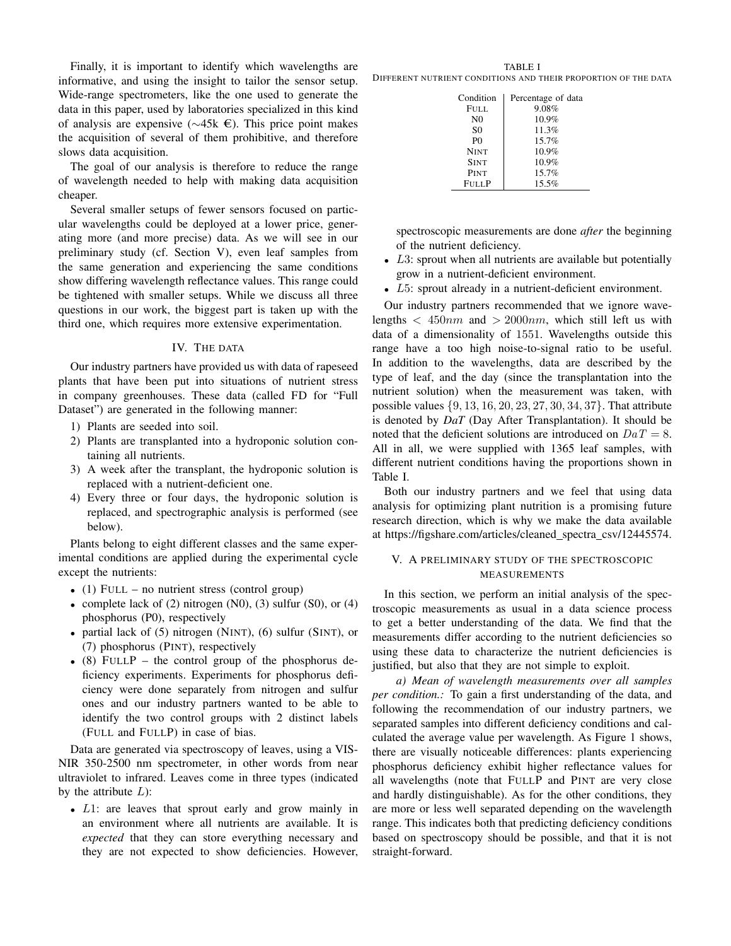Finally, it is important to identify which wavelengths are informative, and using the insight to tailor the sensor setup. Wide-range spectrometers, like the one used to generate the data in this paper, used by laboratories specialized in this kind of analysis are expensive (∼45k e). This price point makes the acquisition of several of them prohibitive, and therefore slows data acquisition.

The goal of our analysis is therefore to reduce the range of wavelength needed to help with making data acquisition cheaper.

Several smaller setups of fewer sensors focused on particular wavelengths could be deployed at a lower price, generating more (and more precise) data. As we will see in our preliminary study (cf. Section V), even leaf samples from the same generation and experiencing the same conditions show differing wavelength reflectance values. This range could be tightened with smaller setups. While we discuss all three questions in our work, the biggest part is taken up with the third one, which requires more extensive experimentation.

#### IV. THE DATA

Our industry partners have provided us with data of rapeseed plants that have been put into situations of nutrient stress in company greenhouses. These data (called FD for "Full Dataset") are generated in the following manner:

- 1) Plants are seeded into soil.
- 2) Plants are transplanted into a hydroponic solution containing all nutrients.
- 3) A week after the transplant, the hydroponic solution is replaced with a nutrient-deficient one.
- 4) Every three or four days, the hydroponic solution is replaced, and spectrographic analysis is performed (see below).

Plants belong to eight different classes and the same experimental conditions are applied during the experimental cycle except the nutrients:

- (1) FULL no nutrient stress (control group)
- complete lack of  $(2)$  nitrogen  $(N0)$ ,  $(3)$  sulfur  $(S0)$ , or  $(4)$ phosphorus (P0), respectively
- partial lack of (5) nitrogen (NINT), (6) sulfur (SINT), or (7) phosphorus (PINT), respectively
- (8) FULLP the control group of the phosphorus deficiency experiments. Experiments for phosphorus deficiency were done separately from nitrogen and sulfur ones and our industry partners wanted to be able to identify the two control groups with 2 distinct labels (FULL and FULLP) in case of bias.

Data are generated via spectroscopy of leaves, using a VIS-NIR 350-2500 nm spectrometer, in other words from near ultraviolet to infrared. Leaves come in three types (indicated by the attribute  $L$ ):

• L1: are leaves that sprout early and grow mainly in an environment where all nutrients are available. It is *expected* that they can store everything necessary and they are not expected to show deficiencies. However,

TABLE I DIFFERENT NUTRIENT CONDITIONS AND THEIR PROPORTION OF THE DATA

| Condition      | Percentage of data |
|----------------|--------------------|
| FULL.          | 9.08%              |
| N <sub>0</sub> | 10.9%              |
| S <sub>0</sub> | 11.3%              |
| P()            | 15.7%              |
| <b>NINT</b>    | 10.9%              |
| <b>SINT</b>    | 10.9%              |
| PINT           | 15.7%              |
| <b>FULLP</b>   | 15.5%              |

spectroscopic measurements are done *after* the beginning of the nutrient deficiency.

- $L3$ : sprout when all nutrients are available but potentially grow in a nutrient-deficient environment.
- L5: sprout already in a nutrient-deficient environment.

Our industry partners recommended that we ignore wavelengths  $\langle 450nm \rangle$  and  $\langle 2000nm \rangle$ , which still left us with data of a dimensionality of 1551. Wavelengths outside this range have a too high noise-to-signal ratio to be useful. In addition to the wavelengths, data are described by the type of leaf, and the day (since the transplantation into the nutrient solution) when the measurement was taken, with possible values {9, 13, 16, 20, 23, 27, 30, 34, 37}. That attribute is denoted by *DaT* (Day After Transplantation). It should be noted that the deficient solutions are introduced on  $DaT = 8$ . All in all, we were supplied with 1365 leaf samples, with different nutrient conditions having the proportions shown in Table I.

Both our industry partners and we feel that using data analysis for optimizing plant nutrition is a promising future research direction, which is why we make the data available at https://figshare.com/articles/cleaned spectra csv/12445574.

## V. A PRELIMINARY STUDY OF THE SPECTROSCOPIC MEASUREMENTS

In this section, we perform an initial analysis of the spectroscopic measurements as usual in a data science process to get a better understanding of the data. We find that the measurements differ according to the nutrient deficiencies so using these data to characterize the nutrient deficiencies is justified, but also that they are not simple to exploit.

*a) Mean of wavelength measurements over all samples per condition.:* To gain a first understanding of the data, and following the recommendation of our industry partners, we separated samples into different deficiency conditions and calculated the average value per wavelength. As Figure 1 shows, there are visually noticeable differences: plants experiencing phosphorus deficiency exhibit higher reflectance values for all wavelengths (note that FULLP and PINT are very close and hardly distinguishable). As for the other conditions, they are more or less well separated depending on the wavelength range. This indicates both that predicting deficiency conditions based on spectroscopy should be possible, and that it is not straight-forward.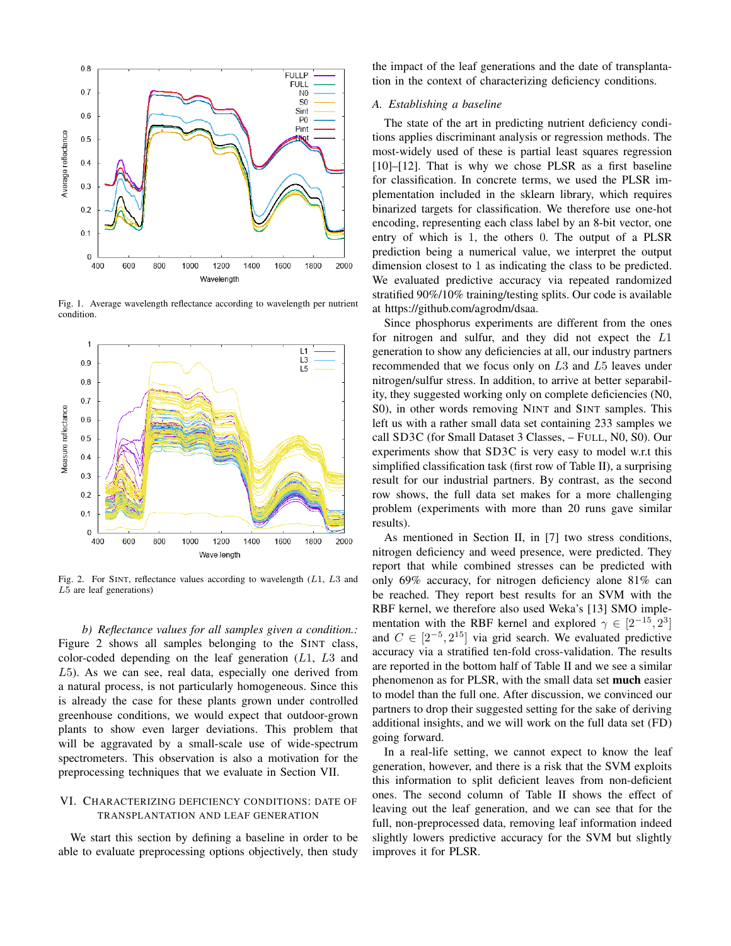

Fig. 1. Average wavelength reflectance according to wavelength per nutrient condition.



Fig. 2. For SINT, reflectance values according to wavelength (L1, L3 and L5 are leaf generations)

*b) Reflectance values for all samples given a condition.:* Figure 2 shows all samples belonging to the SINT class, color-coded depending on the leaf generation  $(L1, L3$  and L5). As we can see, real data, especially one derived from a natural process, is not particularly homogeneous. Since this is already the case for these plants grown under controlled greenhouse conditions, we would expect that outdoor-grown plants to show even larger deviations. This problem that will be aggravated by a small-scale use of wide-spectrum spectrometers. This observation is also a motivation for the preprocessing techniques that we evaluate in Section VII.

## VI. CHARACTERIZING DEFICIENCY CONDITIONS: DATE OF TRANSPLANTATION AND LEAF GENERATION

We start this section by defining a baseline in order to be able to evaluate preprocessing options objectively, then study

the impact of the leaf generations and the date of transplantation in the context of characterizing deficiency conditions.

## *A. Establishing a baseline*

The state of the art in predicting nutrient deficiency conditions applies discriminant analysis or regression methods. The most-widely used of these is partial least squares regression  $[10]$ – $[12]$ . That is why we chose PLSR as a first baseline for classification. In concrete terms, we used the PLSR implementation included in the sklearn library, which requires binarized targets for classification. We therefore use one-hot encoding, representing each class label by an 8-bit vector, one entry of which is 1, the others 0. The output of a PLSR prediction being a numerical value, we interpret the output dimension closest to 1 as indicating the class to be predicted. We evaluated predictive accuracy via repeated randomized stratified 90%/10% training/testing splits. Our code is available at https://github.com/agrodm/dsaa.

Since phosphorus experiments are different from the ones for nitrogen and sulfur, and they did not expect the L1 generation to show any deficiencies at all, our industry partners recommended that we focus only on L3 and L5 leaves under nitrogen/sulfur stress. In addition, to arrive at better separability, they suggested working only on complete deficiencies (N0, S0), in other words removing NINT and SINT samples. This left us with a rather small data set containing 233 samples we call SD3C (for Small Dataset 3 Classes, – FULL, N0, S0). Our experiments show that SD3C is very easy to model w.r.t this simplified classification task (first row of Table II), a surprising result for our industrial partners. By contrast, as the second row shows, the full data set makes for a more challenging problem (experiments with more than 20 runs gave similar results).

As mentioned in Section II, in [7] two stress conditions, nitrogen deficiency and weed presence, were predicted. They report that while combined stresses can be predicted with only 69% accuracy, for nitrogen deficiency alone 81% can be reached. They report best results for an SVM with the RBF kernel, we therefore also used Weka's [13] SMO implementation with the RBF kernel and explored  $\gamma \in [2^{-15}, 2^3]$ and  $C \in [2^{-5}, 2^{15}]$  via grid search. We evaluated predictive accuracy via a stratified ten-fold cross-validation. The results are reported in the bottom half of Table II and we see a similar phenomenon as for PLSR, with the small data set much easier to model than the full one. After discussion, we convinced our partners to drop their suggested setting for the sake of deriving additional insights, and we will work on the full data set (FD) going forward.

In a real-life setting, we cannot expect to know the leaf generation, however, and there is a risk that the SVM exploits this information to split deficient leaves from non-deficient ones. The second column of Table II shows the effect of leaving out the leaf generation, and we can see that for the full, non-preprocessed data, removing leaf information indeed slightly lowers predictive accuracy for the SVM but slightly improves it for PLSR.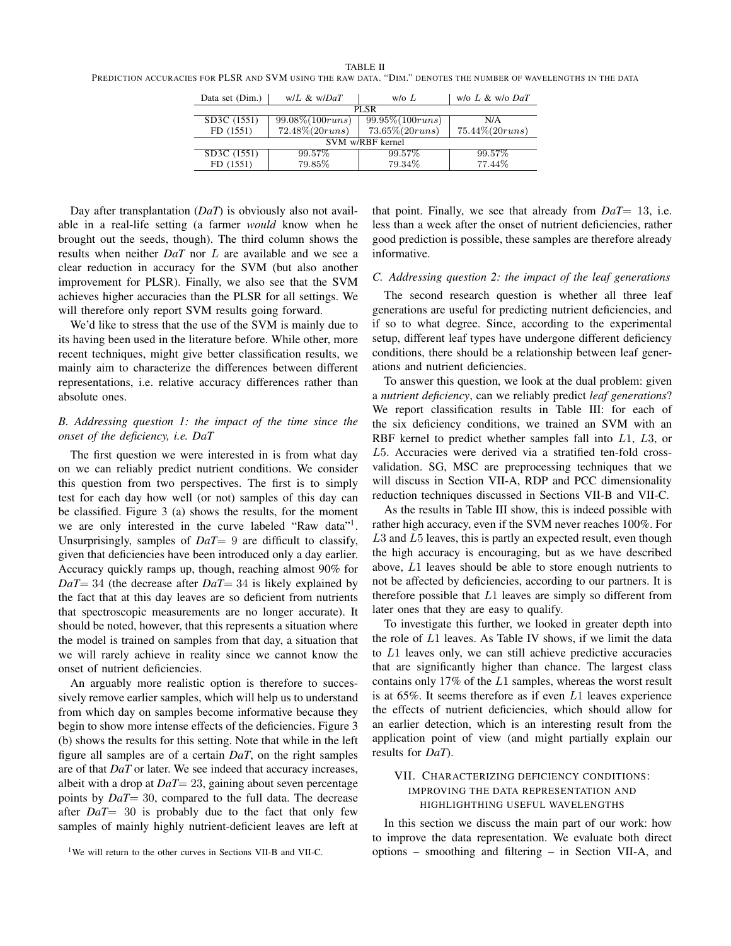| Data set (Dim.)  | $W/L \& W/DaT$       | $w$ /o $L$           | $w$ /o L & $w$ /o DaT |  |  |
|------------------|----------------------|----------------------|-----------------------|--|--|
| PL SR            |                      |                      |                       |  |  |
| SD3C (1551)      | $99.08\% (100 runs)$ | $99.95\% (100 runs)$ | N/A                   |  |  |
| FD (1551)        | $72.48\% (20 runs)$  | $73.65\% (20 runs)$  | $75.44\% (20 runs)$   |  |  |
| SVM w/RBF kernel |                      |                      |                       |  |  |
| SD3C (1551)      | 99.57%               | 99.57%               | 99.57%                |  |  |
| FD (1551)        | 79.85%               | 79.34%               | 77.44%                |  |  |

Day after transplantation (*DaT*) is obviously also not available in a real-life setting (a farmer *would* know when he brought out the seeds, though). The third column shows the results when neither *DaT* nor L are available and we see a clear reduction in accuracy for the SVM (but also another improvement for PLSR). Finally, we also see that the SVM achieves higher accuracies than the PLSR for all settings. We will therefore only report SVM results going forward.

We'd like to stress that the use of the SVM is mainly due to its having been used in the literature before. While other, more recent techniques, might give better classification results, we mainly aim to characterize the differences between different representations, i.e. relative accuracy differences rather than absolute ones.

# *B. Addressing question 1: the impact of the time since the onset of the deficiency, i.e. DaT*

The first question we were interested in is from what day on we can reliably predict nutrient conditions. We consider this question from two perspectives. The first is to simply test for each day how well (or not) samples of this day can be classified. Figure 3 (a) shows the results, for the moment we are only interested in the curve labeled "Raw data"<sup>1</sup> . Unsurprisingly, samples of *DaT*= 9 are difficult to classify, given that deficiencies have been introduced only a day earlier. Accuracy quickly ramps up, though, reaching almost 90% for *DaT*= 34 (the decrease after *DaT*= 34 is likely explained by the fact that at this day leaves are so deficient from nutrients that spectroscopic measurements are no longer accurate). It should be noted, however, that this represents a situation where the model is trained on samples from that day, a situation that we will rarely achieve in reality since we cannot know the onset of nutrient deficiencies.

An arguably more realistic option is therefore to successively remove earlier samples, which will help us to understand from which day on samples become informative because they begin to show more intense effects of the deficiencies. Figure 3 (b) shows the results for this setting. Note that while in the left figure all samples are of a certain *DaT*, on the right samples are of that *DaT* or later. We see indeed that accuracy increases, albeit with a drop at *DaT*= 23, gaining about seven percentage points by *DaT*= 30, compared to the full data. The decrease after *DaT*= 30 is probably due to the fact that only few samples of mainly highly nutrient-deficient leaves are left at that point. Finally, we see that already from *DaT*= 13, i.e. less than a week after the onset of nutrient deficiencies, rather good prediction is possible, these samples are therefore already informative.

## *C. Addressing question 2: the impact of the leaf generations*

The second research question is whether all three leaf generations are useful for predicting nutrient deficiencies, and if so to what degree. Since, according to the experimental setup, different leaf types have undergone different deficiency conditions, there should be a relationship between leaf generations and nutrient deficiencies.

To answer this question, we look at the dual problem: given a *nutrient deficiency*, can we reliably predict *leaf generations*? We report classification results in Table III: for each of the six deficiency conditions, we trained an SVM with an RBF kernel to predict whether samples fall into L1, L3, or L5. Accuracies were derived via a stratified ten-fold crossvalidation. SG, MSC are preprocessing techniques that we will discuss in Section VII-A, RDP and PCC dimensionality reduction techniques discussed in Sections VII-B and VII-C.

As the results in Table III show, this is indeed possible with rather high accuracy, even if the SVM never reaches 100%. For L3 and L5 leaves, this is partly an expected result, even though the high accuracy is encouraging, but as we have described above, L1 leaves should be able to store enough nutrients to not be affected by deficiencies, according to our partners. It is therefore possible that L1 leaves are simply so different from later ones that they are easy to qualify.

To investigate this further, we looked in greater depth into the role of  $L1$  leaves. As Table IV shows, if we limit the data to L1 leaves only, we can still achieve predictive accuracies that are significantly higher than chance. The largest class contains only 17% of the L1 samples, whereas the worst result is at  $65\%$ . It seems therefore as if even  $L1$  leaves experience the effects of nutrient deficiencies, which should allow for an earlier detection, which is an interesting result from the application point of view (and might partially explain our results for *DaT*).

# VII. CHARACTERIZING DEFICIENCY CONDITIONS: IMPROVING THE DATA REPRESENTATION AND HIGHLIGHTHING USEFUL WAVELENGTHS

In this section we discuss the main part of our work: how to improve the data representation. We evaluate both direct options – smoothing and filtering – in Section VII-A, and

<sup>&</sup>lt;sup>1</sup>We will return to the other curves in Sections VII-B and VII-C.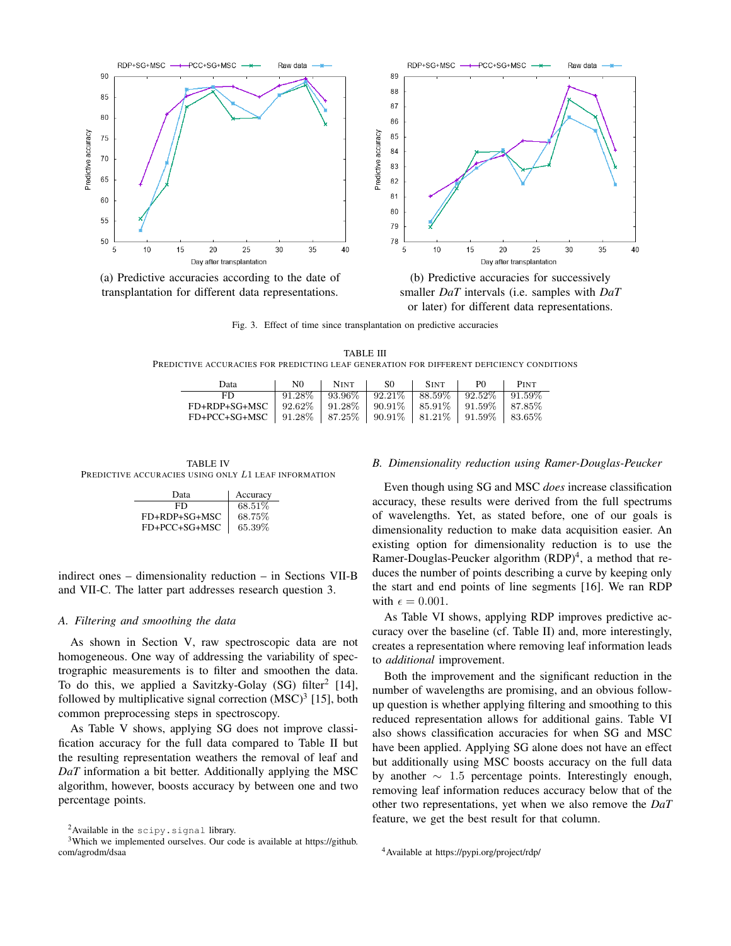

(a) Predictive accuracies according to the date of (b) Predictive accuracies for successively transplantation for different data representations. smaller *DaT* intervals (i.e. samples with *DaT*

or later) for different data representations.

Fig. 3. Effect of time since transplantation on predictive accuracies

TABLE III PREDICTIVE ACCURACIES FOR PREDICTING LEAF GENERATION FOR DIFFERENT DEFICIENCY CONDITIONS

| Data                                                                                  | N0. | $\vert$ NINT $\vert$ SO $\vert$                                              | <b>SINT</b> | P() | <b>PINT</b> |
|---------------------------------------------------------------------------------------|-----|------------------------------------------------------------------------------|-------------|-----|-------------|
| FD                                                                                    |     | $\boxed{91.28\%$   $93.96\%$   $92.21\%$   $88.59\%$   $92.52\%$   $91.59\%$ |             |     |             |
| FD+RDP+SG+MSC   $92.62\%$   $91.28\%$   $90.91\%$   $85.91\%$   $91.59\%$   $87.85\%$ |     |                                                                              |             |     |             |
| FD+PCC+SG+MSC   $91.28\%$   $87.25\%$   $90.91\%$   $81.21\%$   $91.59\%$   $83.65\%$ |     |                                                                              |             |     |             |

TABLE IV PREDICTIVE ACCURACIES USING ONLY L1 LEAF INFORMATION

| Data          | Accuracy |
|---------------|----------|
| FD            | 68.51\%  |
| FD+RDP+SG+MSC | 68.75%   |
| FD+PCC+SG+MSC | 65.39%   |

indirect ones – dimensionality reduction – in Sections VII-B and VII-C. The latter part addresses research question 3.

#### *A. Filtering and smoothing the data*

As shown in Section V, raw spectroscopic data are not homogeneous. One way of addressing the variability of spectrographic measurements is to filter and smoothen the data. To do this, we applied a Savitzky-Golay (SG) filter<sup>2</sup> [14], followed by multiplicative signal correction  $(MSC)^3$  [15], both common preprocessing steps in spectroscopy.

As Table V shows, applying SG does not improve classification accuracy for the full data compared to Table II but the resulting representation weathers the removal of leaf and *DaT* information a bit better. Additionally applying the MSC algorithm, however, boosts accuracy by between one and two percentage points.

#### *B. Dimensionality reduction using Ramer-Douglas-Peucker*

Even though using SG and MSC *does* increase classification accuracy, these results were derived from the full spectrums of wavelengths. Yet, as stated before, one of our goals is dimensionality reduction to make data acquisition easier. An existing option for dimensionality reduction is to use the Ramer-Douglas-Peucker algorithm (RDP)<sup>4</sup>, a method that reduces the number of points describing a curve by keeping only the start and end points of line segments [16]. We ran RDP with  $\epsilon = 0.001$ .

As Table VI shows, applying RDP improves predictive accuracy over the baseline (cf. Table II) and, more interestingly, creates a representation where removing leaf information leads to *additional* improvement.

Both the improvement and the significant reduction in the number of wavelengths are promising, and an obvious followup question is whether applying filtering and smoothing to this reduced representation allows for additional gains. Table VI also shows classification accuracies for when SG and MSC have been applied. Applying SG alone does not have an effect but additionally using MSC boosts accuracy on the full data by another  $\sim$  1.5 percentage points. Interestingly enough, removing leaf information reduces accuracy below that of the other two representations, yet when we also remove the *DaT* feature, we get the best result for that column.

<sup>&</sup>lt;sup>2</sup> Available in the scipy.signal library.

<sup>&</sup>lt;sup>3</sup>Which we implemented ourselves. Our code is available at https://github. com/agrodm/dsaa

<sup>4</sup>Available at https://pypi.org/project/rdp/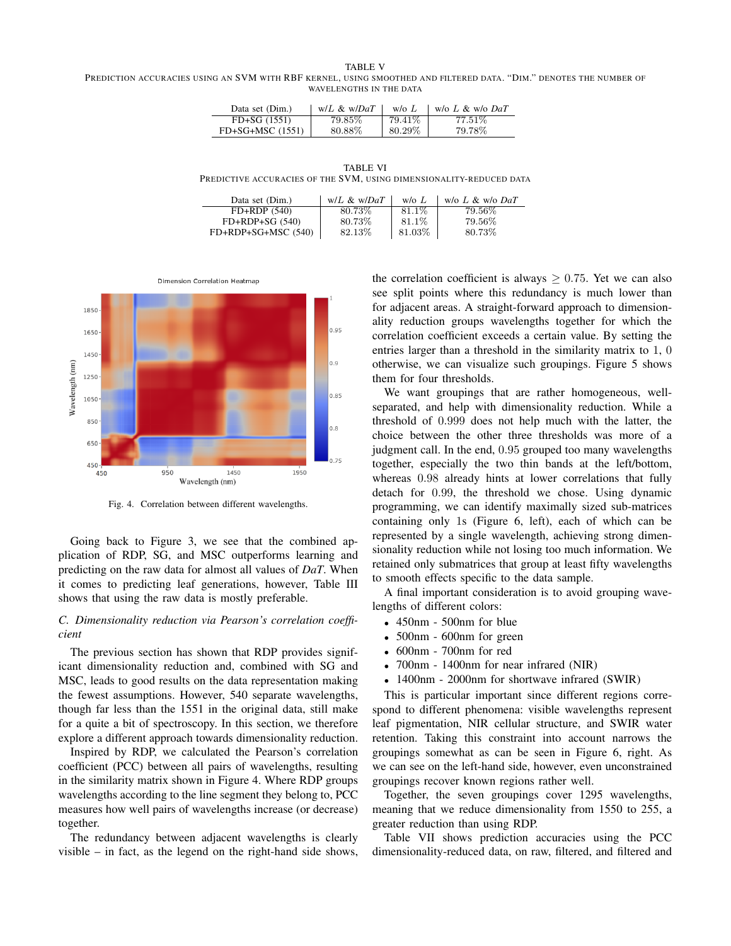TABLE V

PREDICTION ACCURACIES USING AN SVM WITH RBF KERNEL, USING SMOOTHED AND FILTERED DATA. "DIM." DENOTES THE NUMBER OF WAVELENGTHS IN THE DATA

| Data set (Dim.)  | $W/L \& W/DaT$ | W/OL    | w/o $L \& w/o$ DaT |
|------------------|----------------|---------|--------------------|
| $FD+SG (1551)$   | 79.85%         | 79.41\% | 77.51%             |
| FD+SG+MSC (1551) | 80.88\%        | 80.29%  | 79.78%             |

TABLE VI PREDICTIVE ACCURACIES OF THE SVM, USING DIMENSIONALITY-REDUCED DATA

| Data set (Dim.)     | $W/L \& W/DaT$ | $w/\alpha L$ | w/o $L \& w/o$ DaT |
|---------------------|----------------|--------------|--------------------|
| $FD+RDP(540)$       | 80.73%         | 81.1\%       | 79.56%             |
| $FD+RDP+SG (540)$   | 80.73%         | 81.1\%       | 79.56%             |
| FD+RDP+SG+MSC (540) | 82.13%         | 81.03%       | 80.73%             |



Fig. 4. Correlation between different wavelengths.

Going back to Figure 3, we see that the combined application of RDP, SG, and MSC outperforms learning and predicting on the raw data for almost all values of *DaT*. When it comes to predicting leaf generations, however, Table III shows that using the raw data is mostly preferable.

## *C. Dimensionality reduction via Pearson's correlation coefficient*

The previous section has shown that RDP provides significant dimensionality reduction and, combined with SG and MSC, leads to good results on the data representation making the fewest assumptions. However, 540 separate wavelengths, though far less than the 1551 in the original data, still make for a quite a bit of spectroscopy. In this section, we therefore explore a different approach towards dimensionality reduction.

Inspired by RDP, we calculated the Pearson's correlation coefficient (PCC) between all pairs of wavelengths, resulting in the similarity matrix shown in Figure 4. Where RDP groups wavelengths according to the line segment they belong to, PCC measures how well pairs of wavelengths increase (or decrease) together.

The redundancy between adjacent wavelengths is clearly visible – in fact, as the legend on the right-hand side shows, the correlation coefficient is always  $> 0.75$ . Yet we can also see split points where this redundancy is much lower than for adjacent areas. A straight-forward approach to dimensionality reduction groups wavelengths together for which the correlation coefficient exceeds a certain value. By setting the entries larger than a threshold in the similarity matrix to 1, 0 otherwise, we can visualize such groupings. Figure 5 shows them for four thresholds.

We want groupings that are rather homogeneous, wellseparated, and help with dimensionality reduction. While a threshold of 0.999 does not help much with the latter, the choice between the other three thresholds was more of a judgment call. In the end, 0.95 grouped too many wavelengths together, especially the two thin bands at the left/bottom, whereas 0.98 already hints at lower correlations that fully detach for 0.99, the threshold we chose. Using dynamic programming, we can identify maximally sized sub-matrices containing only 1s (Figure 6, left), each of which can be represented by a single wavelength, achieving strong dimensionality reduction while not losing too much information. We retained only submatrices that group at least fifty wavelengths to smooth effects specific to the data sample.

A final important consideration is to avoid grouping wavelengths of different colors:

- 450nm 500nm for blue
- 500nm 600nm for green
- 600nm 700nm for red
- 700nm 1400nm for near infrared (NIR)
- 1400nm 2000nm for shortwave infrared (SWIR)

This is particular important since different regions correspond to different phenomena: visible wavelengths represent leaf pigmentation, NIR cellular structure, and SWIR water retention. Taking this constraint into account narrows the groupings somewhat as can be seen in Figure 6, right. As we can see on the left-hand side, however, even unconstrained groupings recover known regions rather well.

Together, the seven groupings cover 1295 wavelengths, meaning that we reduce dimensionality from 1550 to 255, a greater reduction than using RDP.

Table VII shows prediction accuracies using the PCC dimensionality-reduced data, on raw, filtered, and filtered and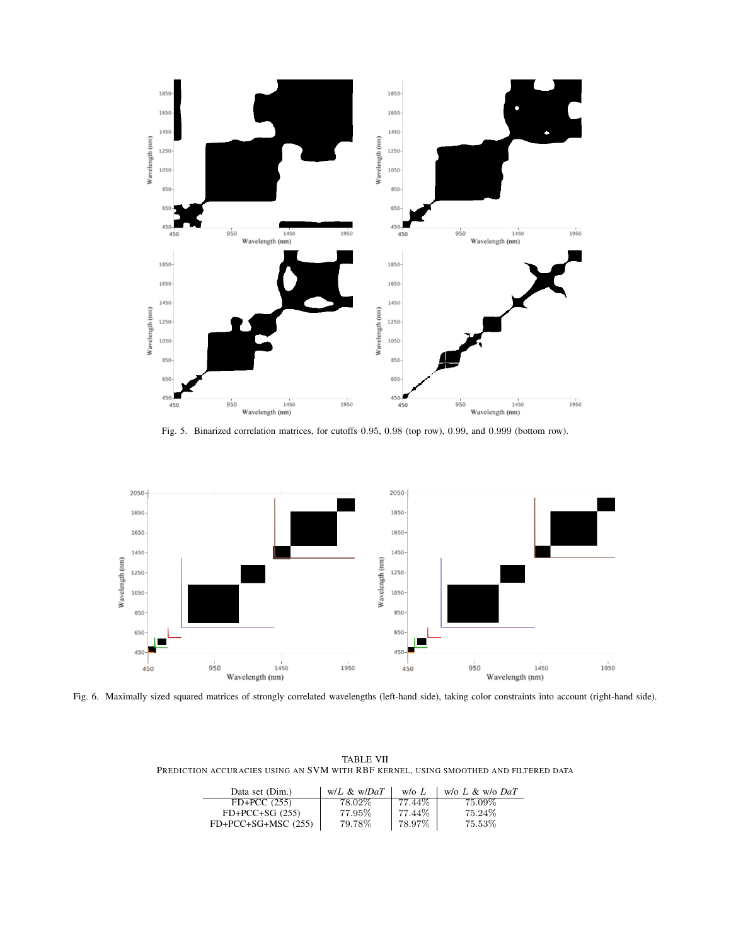

Fig. 5. Binarized correlation matrices, for cutoffs 0.95, 0.98 (top row), 0.99, and 0.999 (bottom row).



Fig. 6. Maximally sized squared matrices of strongly correlated wavelengths (left-hand side), taking color constraints into account (right-hand side).

| <b>TABLE VII</b>                                                                     |  |
|--------------------------------------------------------------------------------------|--|
| PREDICTION ACCURACIES USING AN SVM WITH RBF KERNEL. USING SMOOTHED AND FILTERED DATA |  |

| Data set (Dim.)       | $W/L \& W/DaT$ | $w/\sigma L$ | w/o $L \& w$ /o $DaT$ |
|-----------------------|----------------|--------------|-----------------------|
| $FD+PCC(255)$         | 78.02%         | 77.44%       | 75.09%                |
| $FD+PCC+SG (255)$     | 77.95%         | 77.44%       | 75.24\%               |
| $FD+PCC+SG+MSC (255)$ | 79.78%         | 78.97%       | 75.53%                |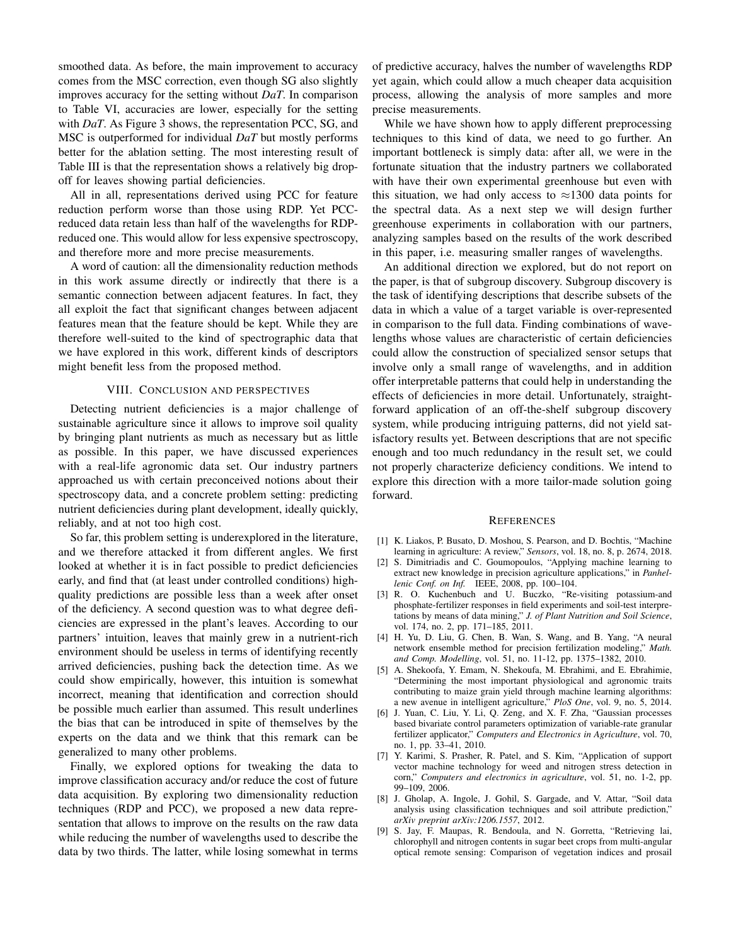smoothed data. As before, the main improvement to accuracy comes from the MSC correction, even though SG also slightly improves accuracy for the setting without *DaT*. In comparison to Table VI, accuracies are lower, especially for the setting with *DaT*. As Figure 3 shows, the representation PCC, SG, and MSC is outperformed for individual *DaT* but mostly performs better for the ablation setting. The most interesting result of Table III is that the representation shows a relatively big dropoff for leaves showing partial deficiencies.

All in all, representations derived using PCC for feature reduction perform worse than those using RDP. Yet PCCreduced data retain less than half of the wavelengths for RDPreduced one. This would allow for less expensive spectroscopy, and therefore more and more precise measurements.

A word of caution: all the dimensionality reduction methods in this work assume directly or indirectly that there is a semantic connection between adjacent features. In fact, they all exploit the fact that significant changes between adjacent features mean that the feature should be kept. While they are therefore well-suited to the kind of spectrographic data that we have explored in this work, different kinds of descriptors might benefit less from the proposed method.

#### VIII. CONCLUSION AND PERSPECTIVES

Detecting nutrient deficiencies is a major challenge of sustainable agriculture since it allows to improve soil quality by bringing plant nutrients as much as necessary but as little as possible. In this paper, we have discussed experiences with a real-life agronomic data set. Our industry partners approached us with certain preconceived notions about their spectroscopy data, and a concrete problem setting: predicting nutrient deficiencies during plant development, ideally quickly, reliably, and at not too high cost.

So far, this problem setting is underexplored in the literature, and we therefore attacked it from different angles. We first looked at whether it is in fact possible to predict deficiencies early, and find that (at least under controlled conditions) highquality predictions are possible less than a week after onset of the deficiency. A second question was to what degree deficiencies are expressed in the plant's leaves. According to our partners' intuition, leaves that mainly grew in a nutrient-rich environment should be useless in terms of identifying recently arrived deficiencies, pushing back the detection time. As we could show empirically, however, this intuition is somewhat incorrect, meaning that identification and correction should be possible much earlier than assumed. This result underlines the bias that can be introduced in spite of themselves by the experts on the data and we think that this remark can be generalized to many other problems.

Finally, we explored options for tweaking the data to improve classification accuracy and/or reduce the cost of future data acquisition. By exploring two dimensionality reduction techniques (RDP and PCC), we proposed a new data representation that allows to improve on the results on the raw data while reducing the number of wavelengths used to describe the data by two thirds. The latter, while losing somewhat in terms of predictive accuracy, halves the number of wavelengths RDP yet again, which could allow a much cheaper data acquisition process, allowing the analysis of more samples and more precise measurements.

While we have shown how to apply different preprocessing techniques to this kind of data, we need to go further. An important bottleneck is simply data: after all, we were in the fortunate situation that the industry partners we collaborated with have their own experimental greenhouse but even with this situation, we had only access to  $\approx$ 1300 data points for the spectral data. As a next step we will design further greenhouse experiments in collaboration with our partners, analyzing samples based on the results of the work described in this paper, i.e. measuring smaller ranges of wavelengths.

An additional direction we explored, but do not report on the paper, is that of subgroup discovery. Subgroup discovery is the task of identifying descriptions that describe subsets of the data in which a value of a target variable is over-represented in comparison to the full data. Finding combinations of wavelengths whose values are characteristic of certain deficiencies could allow the construction of specialized sensor setups that involve only a small range of wavelengths, and in addition offer interpretable patterns that could help in understanding the effects of deficiencies in more detail. Unfortunately, straightforward application of an off-the-shelf subgroup discovery system, while producing intriguing patterns, did not yield satisfactory results yet. Between descriptions that are not specific enough and too much redundancy in the result set, we could not properly characterize deficiency conditions. We intend to explore this direction with a more tailor-made solution going forward.

#### **REFERENCES**

- [1] K. Liakos, P. Busato, D. Moshou, S. Pearson, and D. Bochtis, "Machine learning in agriculture: A review," *Sensors*, vol. 18, no. 8, p. 2674, 2018.
- [2] S. Dimitriadis and C. Goumopoulos, "Applying machine learning to extract new knowledge in precision agriculture applications," in *Panhellenic Conf. on Inf.* IEEE, 2008, pp. 100–104.
- [3] R. O. Kuchenbuch and U. Buczko, "Re-visiting potassium-and phosphate-fertilizer responses in field experiments and soil-test interpretations by means of data mining," *J. of Plant Nutrition and Soil Science*, vol. 174, no. 2, pp. 171–185, 2011.
- [4] H. Yu, D. Liu, G. Chen, B. Wan, S. Wang, and B. Yang, "A neural network ensemble method for precision fertilization modeling," *Math. and Comp. Modelling*, vol. 51, no. 11-12, pp. 1375–1382, 2010.
- [5] A. Shekoofa, Y. Emam, N. Shekoufa, M. Ebrahimi, and E. Ebrahimie, "Determining the most important physiological and agronomic traits contributing to maize grain yield through machine learning algorithms: a new avenue in intelligent agriculture," *PloS One*, vol. 9, no. 5, 2014.
- [6] J. Yuan, C. Liu, Y. Li, Q. Zeng, and X. F. Zha, "Gaussian processes based bivariate control parameters optimization of variable-rate granular fertilizer applicator," *Computers and Electronics in Agriculture*, vol. 70, no. 1, pp. 33–41, 2010.
- [7] Y. Karimi, S. Prasher, R. Patel, and S. Kim, "Application of support vector machine technology for weed and nitrogen stress detection in corn," *Computers and electronics in agriculture*, vol. 51, no. 1-2, pp. 99–109, 2006.
- [8] J. Gholap, A. Ingole, J. Gohil, S. Gargade, and V. Attar, "Soil data analysis using classification techniques and soil attribute prediction," *arXiv preprint arXiv:1206.1557*, 2012.
- [9] S. Jay, F. Maupas, R. Bendoula, and N. Gorretta, "Retrieving lai, chlorophyll and nitrogen contents in sugar beet crops from multi-angular optical remote sensing: Comparison of vegetation indices and prosail